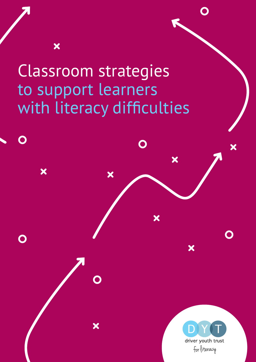# Classroom strategies to support learners with literacy difficulties

X

X

X

X



X

 $\bigcap$ 

X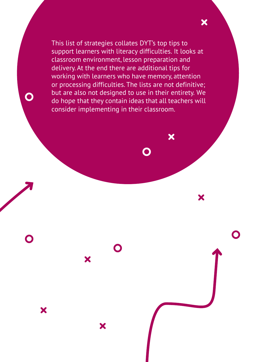This list of strategies collates DYT's top tips to support learners with literacy difficulties. It looks at classroom environment, lesson preparation and delivery. At the end there are additional tips for working with learners who have memory, attention or processing difficulties. The lists are not definitive; but are also not designed to use in their entirety. We do hope that they contain ideas that all teachers will consider implementing in their classroom.

X

X

X

X

X

X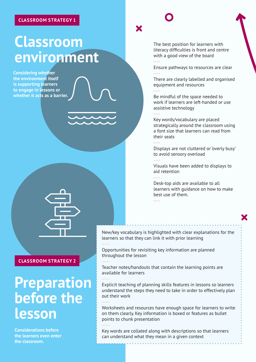# **Classroom environment**

**Considering whether the environment itself is supporting learners to engage in lessons or whether it acts as a barrier.**

#### **CLASSROOM STRATEGY 2**

## **Preparation before the lesson**

**Considerations before the learners even enter the classroom.**

### X

The best position for learners with literacy difficulties is front and centre with a good view of the board

Ensure pathways to resources are clear . . . . . .

There are clearly labelled and organised equipment and resources

. . . . . .

Be mindful of the space needed to work if learners are left-handed or use assistive technology . . . . . .

Key words/vocabulary are placed strategically around the classroom using a font size that learners can read from their seats

Displays are not cluttered or 'overly busy' to avoid sensory overload 111111

Visuals have been added to displays to aid retention

Desk-top aids are available to all learners with guidance on how to make best use of them. . . . . . .

New/key vocabulary is highlighted with clear explanations for the learners so that they can link it with prior learning . . . . . .

Opportunities for revisiting key information are planned throughout the lesson

alaran.

alaran.

Teacher notes/handouts that contain the learning points are available for learners

Explicit teaching of planning skills features in lessons so learners understand the steps they need to take in order to effectively plan out their work

Worksheets and resources have enough space for learners to write on them clearly. Key information is boxed or features as bullet points to chunk presentation

Key words are collated along with descriptions so that learners can understand what they mean in a given context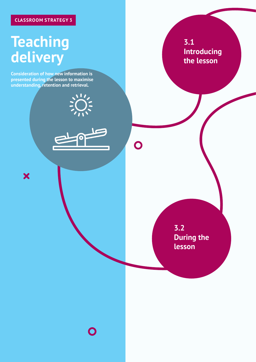### **CLASSROOM STRATEGY 3**

# **Teaching delivery**

X

**Consideration of how new information is presented during the lesson to maximise understanding, retention and retrieval.**

**3.1 Introducing the lesson**

**3.2 During the lesson**

 $\overline{\mathbf{O}}$ 

 $\bigcap$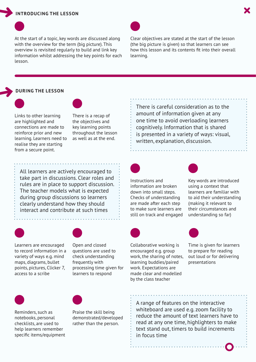#### **INTRODUCING THE LESSON**

At the start of a topic, key words are discussed along with the overview for the term (big picture). This overview is revisited regularly to build and link key information whilst addressing the key points for each lesson.

Clear objectives are stated at the start of the lesson (the big picture is given) so that learners can see how this lesson and its contents fit into their overall learning.

#### **DURING THE LESSON**



Links to other learning are highlighted and connections are made to reinforce prior and new learning. Learners need to realise they are starting from a secure point.

There is a recap of the objectives and key learning points throughout the lesson as well as at the end.

All learners are actively encouraged to take part in discussions. Clear roles and rules are in place to support discussion. The teacher models what is expected during group discussions so learners clearly understand how they should interact and contribute at such times



Learners are encouraged to record information in a variety of ways e.g. mind maps, diagrams, bullet points, pictures, Clicker 7, access to a scribe

Open and closed questions are used to check understanding frequently with processing time given for learners to respond



Reminders, such as notebooks, personal checklists, are used to help learners remember specific items/equipment Praise the skill being demonstrated/developed rather than the person.

There is careful consideration as to the amount of information given at any one time to avoid overloading learners cognitively. Information that is shared is presented in a variety of ways: visual, written, explanation, discussion.



Instructions and information are broken down into small steps. Checks of understanding are made after each step to make sure learners are still on track and engaged



Key words are introduced using a context that learners are familiar with to aid their understanding (making it relevant to their circumstances and understanding so far)



Collaborative working is encouraged e.g. group work, the sharing of notes, learning buddies/paired work. Expectations are made clear and modelled by the class teacher

Time is given for learners to prepare for reading out loud or for delivering presentations

A range of features on the interactive whiteboard are used e.g. zoom facility to reduce the amount of text learners have to read at any one time, highlighters to make text stand out, timers to build increments in focus time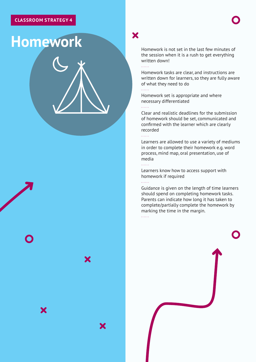# **Homework**

X

X

Homework is not set in the last few minutes of the session when it is a rush to get everything written down! 

X

 $\ldots$  .

111111

ala da d

Homework tasks are clear, and instructions are written down for learners, so they are fully aware of what they need to do

Homework set is appropriate and where necessary differentiated

Clear and realistic deadlines for the submission of homework should be set, communicated and confirmed with the learner which are clearly recorded

Learners are allowed to use a variety of mediums in order to complete their homework e.g. word process, mind map, oral presentation, use of media . . . . . .

Learners know how to access support with homework if required  $\overline{1}$  . . . . .

Guidance is given on the length of time learners should spend on completing homework tasks. Parents can indicate how long it has taken to complete/partially complete the homework by marking the time in the margin.alar<br>San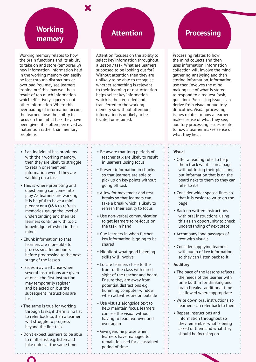### **Working memory**

Working memory relates to how the brain functions and its ability to take on and store (temporarily) new information. Information held in the working memory can easily be lost through distractions or overload. You may see learners 'zoning out' this may well be a result of too much information which effectively squeezes out other information. Where this overloading of information occurs, the learners lose the ability to focus on the initial task they have been given it is often perceived as inattention rather than memory problems.

- If an individual has problems with their working memory, then they are likely to struggle to retain or remember information even if they are working on a task
- This is where prompting and questioning can come into play. As learners are working it is helpful to have a miniplenary or a Q&A to refresh memories, gauge the level of understanding and then let learners continue with topic knowledge refreshed in their minds
- Chunk information so that learners are more able to process smaller amounts before progressing to the next stage of the lesson
- Issues may well arise when several instructions are given at once, the first instruction may temporarily register and be acted on, but the subsequent instructions are lost
- The same is true for working through tasks, if there is no list to refer back to, then a learner will struggle to progress beyond the first task
- Don't expect learners to be able to multi-task e.g. listen and take notes at the same time.

### **Attention**

Attention focuses on the ability to select key information throughout a lesson / task. What are learners supposed to be looking out for? Without attention then they are unlikely to be able to recognise whether something is relevant to their learning or not. Attention helps select key information which is then encoded and transferred to the working memory so without attention, information is unlikely to be located or retained.

- Be aware that long periods of teacher talk are likely to result in learners losing focus
- Present information in chunks so that learners are able to pick up on key points without going off task
- Allow for movement and rest breaks so that learners can take a break which is likely to refresh their ability to focus
- Use non-verbal communication to get learners to re-focus on the task in hand
- Cue learners in when further key information is going to be shared
- Highlight what good listening skills will involve
- Locate learners close to the front of the class with direct sight of the teacher and board. Ensure they are away from potential distractions e.g. humming computer, window when activities are on outside
- Use visuals alongside text to help maintain focus, learners can see the visual without having to read text over and over again
- Give genuine praise when learners have managed to remain focused for a sustained period of time.

### **Processing**

Processing relates to how the mind collects and then uses information. Information collection will involve the mind gathering, analysing and then storing information. Information use then involves the mind making use of what is stored to respond to a request (task, question). Processing issues can derive from visual or auditory difficulties. Visual processing issues relates to how a learner makes sense of what they see, auditory processing issues relate to how a learner makes sense of what they hear.

#### **Visual**

• Offer a reading ruler to help them track what is on a page without losing their place and put information that is on the board next to them so they can refer to it4

. . . . . . . . . . . . . . . . .

- Consider wider spaced lines so that it is easier to write on the page
- Back up written instructions with oral instructions, using this as an opportunity to check understanding of next steps
- Accompany long passages of text with visuals
- Consider supplying learners with audio of key information so they can listen back to it

#### **Auditory**

- The pace of the lessons reflects the needs of the learner with time built in for thinking and brain breaks - additional time is allowed where appropriate
- Write down oral instructions so learners can refer back to them
- Repeat instructions and information throughout so they remember what is being asked of them and what they should be focusing on.